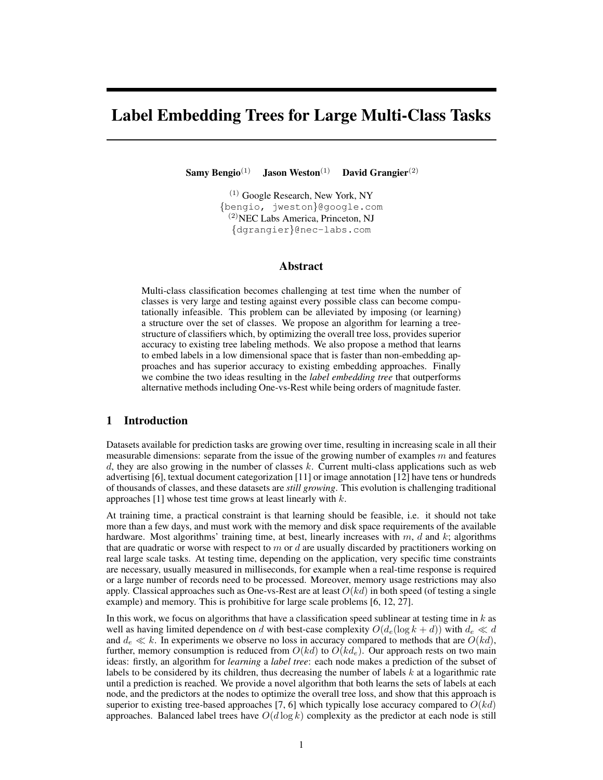# Label Embedding Trees for Large Multi-Class Tasks

Samy Bengio<sup>(1)</sup> Jason Weston<sup>(1)</sup> David Grangier<sup>(2)</sup>

(1) Google Research, New York, NY {bengio, jweston}@google.com (2)NEC Labs America, Princeton, NJ {dgrangier}@nec-labs.com

## Abstract

Multi-class classification becomes challenging at test time when the number of classes is very large and testing against every possible class can become computationally infeasible. This problem can be alleviated by imposing (or learning) a structure over the set of classes. We propose an algorithm for learning a treestructure of classifiers which, by optimizing the overall tree loss, provides superior accuracy to existing tree labeling methods. We also propose a method that learns to embed labels in a low dimensional space that is faster than non-embedding approaches and has superior accuracy to existing embedding approaches. Finally we combine the two ideas resulting in the *label embedding tree* that outperforms alternative methods including One-vs-Rest while being orders of magnitude faster.

# 1 Introduction

Datasets available for prediction tasks are growing over time, resulting in increasing scale in all their measurable dimensions: separate from the issue of the growing number of examples  $m$  and features  $d$ , they are also growing in the number of classes  $k$ . Current multi-class applications such as web advertising [6], textual document categorization [11] or image annotation [12] have tens or hundreds of thousands of classes, and these datasets are *still growing*. This evolution is challenging traditional approaches  $[1]$  whose test time grows at least linearly with  $k$ .

At training time, a practical constraint is that learning should be feasible, i.e. it should not take more than a few days, and must work with the memory and disk space requirements of the available hardware. Most algorithms' training time, at best, linearly increases with  $m, d$  and  $k$ ; algorithms that are quadratic or worse with respect to  $m$  or  $d$  are usually discarded by practitioners working on real large scale tasks. At testing time, depending on the application, very specific time constraints are necessary, usually measured in milliseconds, for example when a real-time response is required or a large number of records need to be processed. Moreover, memory usage restrictions may also apply. Classical approaches such as One-vs-Rest are at least  $O(kd)$  in both speed (of testing a single example) and memory. This is prohibitive for large scale problems [6, 12, 27].

In this work, we focus on algorithms that have a classification speed sublinear at testing time in  $k$  as well as having limited dependence on d with best-case complexity  $O(d_e(\log k + d))$  with  $d_e \ll d$ and  $d_e \ll k$ . In experiments we observe no loss in accuracy compared to methods that are  $O(kd)$ , further, memory consumption is reduced from  $O(kd)$  to  $O(kd_e)$ . Our approach rests on two main ideas: firstly, an algorithm for *learning* a *label tree*: each node makes a prediction of the subset of labels to be considered by its children, thus decreasing the number of labels  $k$  at a logarithmic rate until a prediction is reached. We provide a novel algorithm that both learns the sets of labels at each node, and the predictors at the nodes to optimize the overall tree loss, and show that this approach is superior to existing tree-based approaches [7, 6] which typically lose accuracy compared to  $O(kd)$ approaches. Balanced label trees have  $O(d \log k)$  complexity as the predictor at each node is still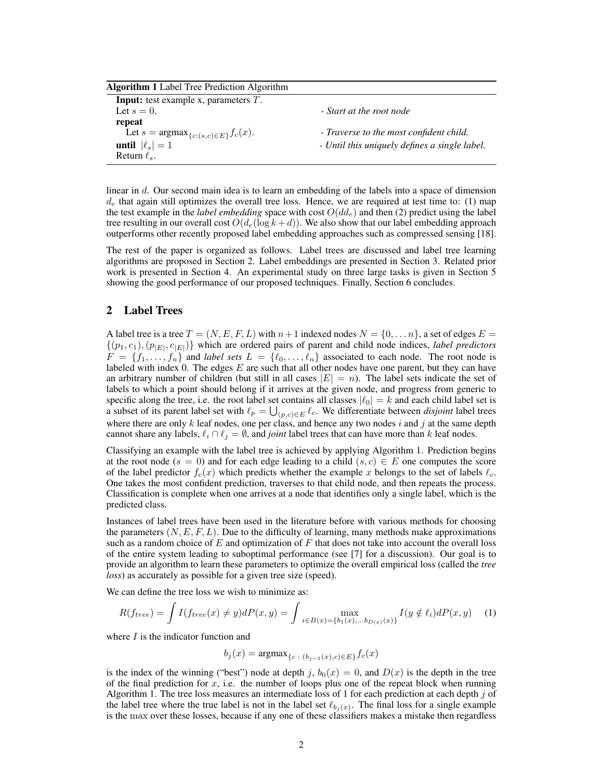Algorithm 1 Label Tree Prediction Algorithm

| <b>Input:</b> test example x, parameters $T$ .                |                                               |
|---------------------------------------------------------------|-----------------------------------------------|
| Let $s=0$ .                                                   | - Start at the root node                      |
| repeat                                                        |                                               |
| Let $s = \operatorname{argmax}_{\{c: (s,c) \in E\}} f_c(x)$ . | - Traverse to the most confident child.       |
| until $ \ell_s =1$                                            | - Until this uniquely defines a single label. |
| Return $\ell_s$ .                                             |                                               |

linear in d. Our second main idea is to learn an embedding of the labels into a space of dimension  $d_e$  that again still optimizes the overall tree loss. Hence, we are required at test time to: (1) map the test example in the *label embedding* space with cost  $O(d_{\epsilon})$  and then (2) predict using the label tree resulting in our overall cost  $O(d_e(\log k + d))$ . We also show that our label embedding approach outperforms other recently proposed label embedding approaches such as compressed sensing [18].

The rest of the paper is organized as follows. Label trees are discussed and label tree learning algorithms are proposed in Section 2. Label embeddings are presented in Section 3. Related prior work is presented in Section 4. An experimental study on three large tasks is given in Section 5 showing the good performance of our proposed techniques. Finally, Section 6 concludes.

#### 2 Label Trees

A label tree is a tree  $T = (N, E, F, L)$  with  $n+1$  indexed nodes  $N = \{0, \ldots n\}$ , a set of edges  $E =$  $\{(p_1, c_1), (p_{|E|}, c_{|E|})\}$  which are ordered pairs of parent and child node indices, *label predictors*  $F = \{f_1, \ldots, f_n\}$  and *label sets*  $L = \{\ell_0, \ldots, \ell_n\}$  associated to each node. The root node is labeled with index  $0$ . The edges  $E$  are such that all other nodes have one parent, but they can have an arbitrary number of children (but still in all cases  $|E| = n$ ). The label sets indicate the set of labels to which a point should belong if it arrives at the given node, and progress from generic to specific along the tree, i.e. the root label set contains all classes  $|\ell_0| = k$  and each child label set is a subset of its parent label set with  $\ell_p = \bigcup_{(p,c) \in E} \ell_c$ . We differentiate between *disjoint* label trees where there are only  $k$  leaf nodes, one per class, and hence any two nodes  $i$  and  $j$  at the same depth cannot share any labels,  $\ell_i \cap \ell_j = \emptyset$ , and *joint* label trees that can have more than k leaf nodes.

Classifying an example with the label tree is achieved by applying Algorithm 1. Prediction begins at the root node ( $s = 0$ ) and for each edge leading to a child  $(s, c) \in E$  one computes the score of the label predictor  $f_c(x)$  which predicts whether the example x belongs to the set of labels  $\ell_c$ . One takes the most confident prediction, traverses to that child node, and then repeats the process. Classification is complete when one arrives at a node that identifies only a single label, which is the predicted class.

Instances of label trees have been used in the literature before with various methods for choosing the parameters  $(N, E, F, L)$ . Due to the difficulty of learning, many methods make approximations such as a random choice of  $E$  and optimization of  $F$  that does not take into account the overall loss of the entire system leading to suboptimal performance (see [7] for a discussion). Our goal is to provide an algorithm to learn these parameters to optimize the overall empirical loss (called the *tree loss*) as accurately as possible for a given tree size (speed).

We can define the tree loss we wish to minimize as:

$$
R(f_{tree}) = \int I(f_{tree}(x) \neq y) dP(x, y) = \int \max_{i \in B(x) = \{b_1(x), \dots, b_{D(x)}(x)\}} I(y \notin \ell_i) dP(x, y) \tag{1}
$$

where  $I$  is the indicator function and

$$
b_j(x) = \operatorname{argmax}_{\{c : (b_{j-1}(x), c) \in E\}} f_c(x)
$$

is the index of the winning ("best") node at depth j,  $b_0(x) = 0$ , and  $D(x)$  is the depth in the tree of the final prediction for  $x$ , i.e. the number of loops plus one of the repeat block when running Algorithm 1. The tree loss measures an intermediate loss of 1 for each prediction at each depth  $j$  of the label tree where the true label is not in the label set  $\ell_{b_j(x)}$ . The final loss for a single example is the max over these losses, because if any one of these classifiers makes a mistake then regardless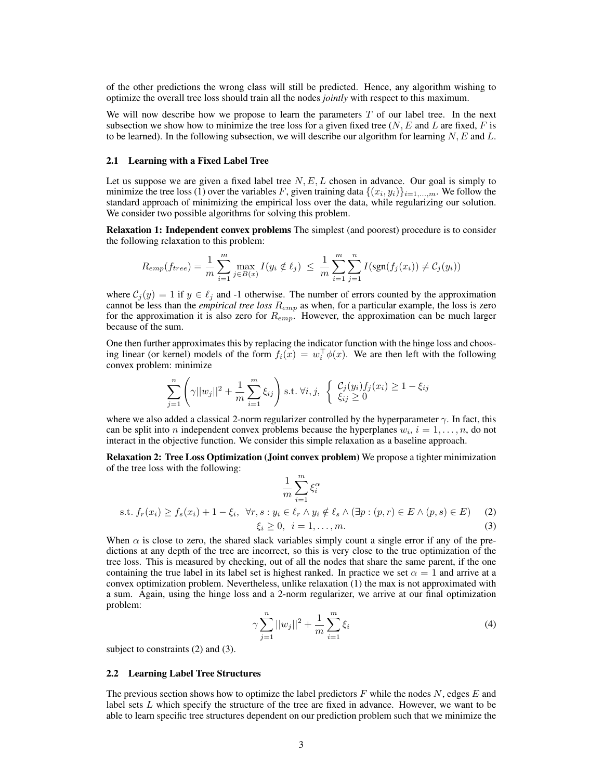of the other predictions the wrong class will still be predicted. Hence, any algorithm wishing to optimize the overall tree loss should train all the nodes *jointly* with respect to this maximum.

We will now describe how we propose to learn the parameters  $T$  of our label tree. In the next subsection we show how to minimize the tree loss for a given fixed tree  $(N, E \text{ and } L \text{ are fixed}, F \text{ is }$ to be learned). In the following subsection, we will describe our algorithm for learning  $N$ , E and L.

#### 2.1 Learning with a Fixed Label Tree

Let us suppose we are given a fixed label tree  $N, E, L$  chosen in advance. Our goal is simply to minimize the tree loss (1) over the variables F, given training data  $\{(x_i, y_i)\}_{i=1,\dots,m}$ . We follow the standard approach of minimizing the empirical loss over the data, while regularizing our solution. We consider two possible algorithms for solving this problem.

Relaxation 1: Independent convex problems The simplest (and poorest) procedure is to consider the following relaxation to this problem:

$$
R_{emp}(f_{tree}) = \frac{1}{m} \sum_{i=1}^{m} \max_{j \in B(x)} I(y_i \notin \ell_j) \leq \frac{1}{m} \sum_{i=1}^{m} \sum_{j=1}^{n} I(\text{sgn}(f_j(x_i)) \neq C_j(y_i))
$$

where  $C_i(y) = 1$  if  $y \in \ell_i$  and -1 otherwise. The number of errors counted by the approximation cannot be less than the *empirical tree loss*  $R_{emp}$  as when, for a particular example, the loss is zero for the approximation it is also zero for  $R_{emp}$ . However, the approximation can be much larger because of the sum.

One then further approximates this by replacing the indicator function with the hinge loss and choosing linear (or kernel) models of the form  $f_i(x) = w_i^{\top} \phi(x)$ . We are then left with the following convex problem: minimize

$$
\sum_{j=1}^{n} \left( \gamma ||w_j||^2 + \frac{1}{m} \sum_{i=1}^{m} \xi_{ij} \right) \text{s.t. } \forall i, j, \ \left\{ \begin{array}{l} \mathcal{C}_j(y_i) f_j(x_i) \ge 1 - \xi_{ij} \\ \xi_{ij} \ge 0 \end{array} \right.
$$

where we also added a classical 2-norm regularizer controlled by the hyperparameter  $\gamma$ . In fact, this can be split into *n* independent convex problems because the hyperplanes  $w_i$ ,  $i = 1, \ldots, n$ , do not interact in the objective function. We consider this simple relaxation as a baseline approach.

Relaxation 2: Tree Loss Optimization (Joint convex problem) We propose a tighter minimization of the tree loss with the following:

$$
\frac{1}{m} \sum_{i=1}^{m} \xi_i^{\alpha}
$$
\n
$$
\text{s.t. } f_r(x_i) \ge f_s(x_i) + 1 - \xi_i, \ \forall r, s : y_i \in \ell_r \land y_i \notin \ell_s \land (\exists p : (p, r) \in E \land (p, s) \in E) \tag{2}
$$
\n
$$
\xi_i \ge 0, \ i = 1, \dots, m. \tag{3}
$$

When  $\alpha$  is close to zero, the shared slack variables simply count a single error if any of the predictions at any depth of the tree are incorrect, so this is very close to the true optimization of the tree loss. This is measured by checking, out of all the nodes that share the same parent, if the one containing the true label in its label set is highest ranked. In practice we set  $\alpha = 1$  and arrive at a convex optimization problem. Nevertheless, unlike relaxation (1) the max is not approximated with a sum. Again, using the hinge loss and a 2-norm regularizer, we arrive at our final optimization problem:

$$
\gamma \sum_{j=1}^{n} ||w_j||^2 + \frac{1}{m} \sum_{i=1}^{m} \xi_i
$$
\n(4)

subject to constraints (2) and (3).

#### 2.2 Learning Label Tree Structures

The previous section shows how to optimize the label predictors  $F$  while the nodes  $N$ , edges  $E$  and label sets  $L$  which specify the structure of the tree are fixed in advance. However, we want to be able to learn specific tree structures dependent on our prediction problem such that we minimize the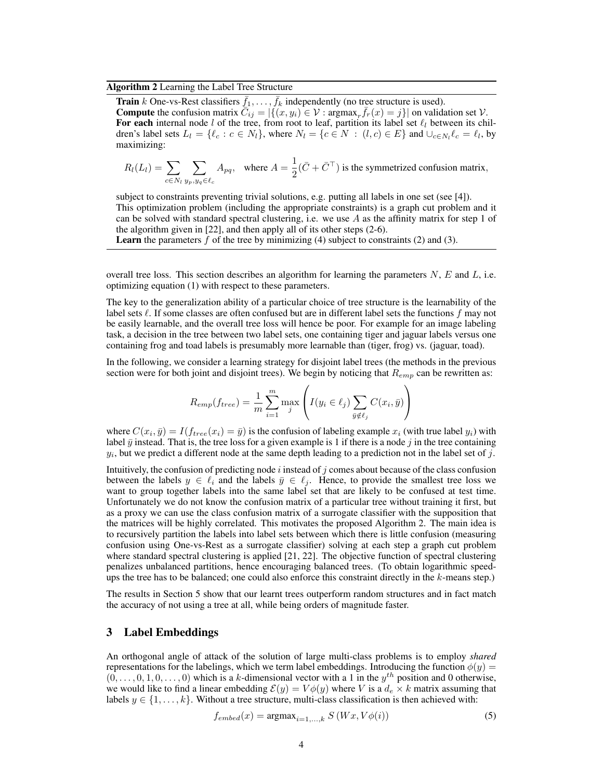#### Algorithm 2 Learning the Label Tree Structure

**Train** k One-vs-Rest classifiers  $\bar{f}_1, \ldots, \bar{f}_k$  independently (no tree structure is used). **Compute** the confusion matrix  $\overline{C}_{ij} = |\{(x, y_i) \in \mathcal{V} : \text{argmax}_r \overline{f}_r(x) = j \}|$  on validation set  $\mathcal{V}$ . For each internal node l of the tree, from root to leaf, partition its label set  $\ell_l$  between its children's label sets  $L_l = \{ \ell_c : c \in N_l \}$ , where  $N_l = \{ c \in N : (l, c) \in E \}$  and  $\cup_{c \in N_l} \ell_c = \ell_l$ , by maximizing:

$$
R_l(L_l) = \sum_{c \in N_l} \sum_{y_p, y_q \in \ell_c} A_{pq}, \text{ where } A = \frac{1}{2}(\bar{C} + \bar{C}^{\top}) \text{ is the symmetrized confusion matrix,}
$$

subject to constraints preventing trivial solutions, e.g. putting all labels in one set (see [4]). This optimization problem (including the appropriate constraints) is a graph cut problem and it can be solved with standard spectral clustering, i.e. we use  $A$  as the affinity matrix for step 1 of the algorithm given in [22], and then apply all of its other steps (2-6).

**Learn** the parameters f of the tree by minimizing (4) subject to constraints (2) and (3).

overall tree loss. This section describes an algorithm for learning the parameters  $N$ ,  $E$  and  $L$ , i.e. optimizing equation (1) with respect to these parameters.

The key to the generalization ability of a particular choice of tree structure is the learnability of the label sets  $\ell$ . If some classes are often confused but are in different label sets the functions f may not be easily learnable, and the overall tree loss will hence be poor. For example for an image labeling task, a decision in the tree between two label sets, one containing tiger and jaguar labels versus one containing frog and toad labels is presumably more learnable than (tiger, frog) vs. (jaguar, toad).

In the following, we consider a learning strategy for disjoint label trees (the methods in the previous section were for both joint and disjoint trees). We begin by noticing that  $R_{emp}$  can be rewritten as:

$$
R_{emp}(f_{tree}) = \frac{1}{m} \sum_{i=1}^{m} \max_{j} \left( I(y_i \in \ell_j) \sum_{\bar{y} \notin \ell_j} C(x_i, \bar{y}) \right)
$$

where  $C(x_i, \bar{y}) = I(f_{tree}(x_i) = \bar{y})$  is the confusion of labeling example  $x_i$  (with true label  $y_i$ ) with label  $\bar{y}$  instead. That is, the tree loss for a given example is 1 if there is a node j in the tree containing  $y_i$ , but we predict a different node at the same depth leading to a prediction not in the label set of j.

Intuitively, the confusion of predicting node  $i$  instead of  $j$  comes about because of the class confusion between the labels  $y \in \ell_i$  and the labels  $\bar{y} \in \ell_j$ . Hence, to provide the smallest tree loss we want to group together labels into the same label set that are likely to be confused at test time. Unfortunately we do not know the confusion matrix of a particular tree without training it first, but as a proxy we can use the class confusion matrix of a surrogate classifier with the supposition that the matrices will be highly correlated. This motivates the proposed Algorithm 2. The main idea is to recursively partition the labels into label sets between which there is little confusion (measuring confusion using One-vs-Rest as a surrogate classifier) solving at each step a graph cut problem where standard spectral clustering is applied [21, 22]. The objective function of spectral clustering penalizes unbalanced partitions, hence encouraging balanced trees. (To obtain logarithmic speedups the tree has to be balanced; one could also enforce this constraint directly in the k-means step.)

The results in Section 5 show that our learnt trees outperform random structures and in fact match the accuracy of not using a tree at all, while being orders of magnitude faster.

## 3 Label Embeddings

An orthogonal angle of attack of the solution of large multi-class problems is to employ *shared* representations for the labelings, which we term label embeddings. Introducing the function  $\phi(y)$  =  $(0, \ldots, 0, 1, 0, \ldots, 0)$  which is a k-dimensional vector with a 1 in the  $y^{th}$  position and 0 otherwise, we would like to find a linear embedding  $\mathcal{E}(y) = V\phi(y)$  where V is a  $d_e \times k$  matrix assuming that labels  $y \in \{1, \ldots, k\}$ . Without a tree structure, multi-class classification is then achieved with:

$$
f_{embed}(x) = \operatorname{argmax}_{i=1,\dots,k} S\left(Wx, V\phi(i)\right) \tag{5}
$$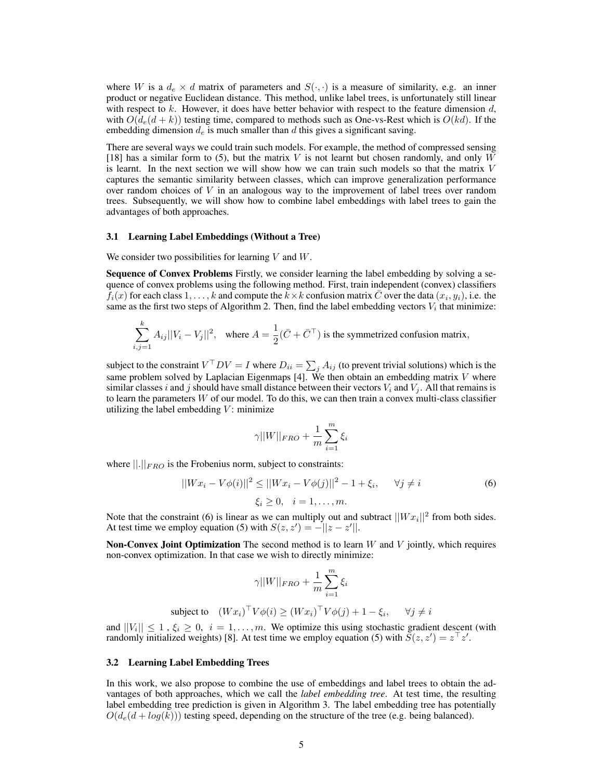where W is a  $d_e \times d$  matrix of parameters and  $S(\cdot, \cdot)$  is a measure of similarity, e.g. an inner product or negative Euclidean distance. This method, unlike label trees, is unfortunately still linear with respect to  $k$ . However, it does have better behavior with respect to the feature dimension  $d$ , with  $O(d_e(d + k))$  testing time, compared to methods such as One-vs-Rest which is  $O(kd)$ . If the embedding dimension  $d_e$  is much smaller than  $d$  this gives a significant saving.

There are several ways we could train such models. For example, the method of compressed sensing [18] has a similar form to (5), but the matrix V is not learnt but chosen randomly, and only W is learnt. In the next section we will show how we can train such models so that the matrix  $V$ captures the semantic similarity between classes, which can improve generalization performance over random choices of  $V$  in an analogous way to the improvement of label trees over random trees. Subsequently, we will show how to combine label embeddings with label trees to gain the advantages of both approaches.

# 3.1 Learning Label Embeddings (Without a Tree)

We consider two possibilities for learning  $V$  and  $W$ .

Sequence of Convex Problems Firstly, we consider learning the label embedding by solving a sequence of convex problems using the following method. First, train independent (convex) classifiers  $f_i(x)$  for each class  $1, \ldots, k$  and compute the  $\overline{k} \times k$  confusion matrix  $\overline{C}$  over the data  $(x_i, y_i)$ , i.e. the same as the first two steps of Algorithm 2. Then, find the label embedding vectors  $V_i$  that minimize:

$$
\sum_{i,j=1}^k A_{ij} ||V_i - V_j||^2, \text{ where } A = \frac{1}{2}(\bar{C} + \bar{C}^\top) \text{ is the symmetrized confusion matrix,}
$$

subject to the constraint  $V^{\top}DV = I$  where  $D_{ii} = \sum_j A_{ij}$  (to prevent trivial solutions) which is the same problem solved by Laplacian Eigenmaps  $[4]$ . We then obtain an embedding matrix V where similar classes i and j should have small distance between their vectors  $V_i$  and  $V_j$ . All that remains is to learn the parameters  $W$  of our model. To do this, we can then train a convex multi-class classifier utilizing the label embedding  $V$ : minimize

$$
\gamma ||W||_{FRO} + \frac{1}{m}\sum_{i=1}^m \xi_i
$$

where  $\left\| . \right\|_{FRO}$  is the Frobenius norm, subject to constraints:

$$
||Wx_i - V\phi(i)||^2 \le ||Wx_i - V\phi(j)||^2 - 1 + \xi_i, \quad \forall j \neq i
$$
 (6)

$$
\xi_i\geq 0, \quad i=1,\ldots,m.
$$

Note that the constraint (6) is linear as we can multiply out and subtract  $||Wx_i||^2$  from both sides. At test time we employ equation (5) with  $S(z, z') = -||z - z'||$ .

**Non-Convex Joint Optimization** The second method is to learn  $W$  and  $V$  jointly, which requires non-convex optimization. In that case we wish to directly minimize:

$$
\gamma ||W||_{FRO} + \frac{1}{m} \sum_{i=1}^{m} \xi_i
$$

subject to 
$$
(Wx_i)^\top V \phi(i) \ge (Wx_i)^\top V \phi(j) + 1 - \xi_i, \quad \forall j \neq i
$$

and  $||V_i|| \leq 1$ ,  $\xi_i \geq 0$ ,  $i = 1, \ldots, m$ . We optimize this using stochastic gradient descent (with randomly initialized weights) [8]. At test time we employ equation (5) with  $\tilde{S}(z, z') = z^{\top} z'.$ 

#### 3.2 Learning Label Embedding Trees

In this work, we also propose to combine the use of embeddings and label trees to obtain the advantages of both approaches, which we call the *label embedding tree*. At test time, the resulting label embedding tree prediction is given in Algorithm 3. The label embedding tree has potentially  $O(d_e(d + log(k)))$  testing speed, depending on the structure of the tree (e.g. being balanced).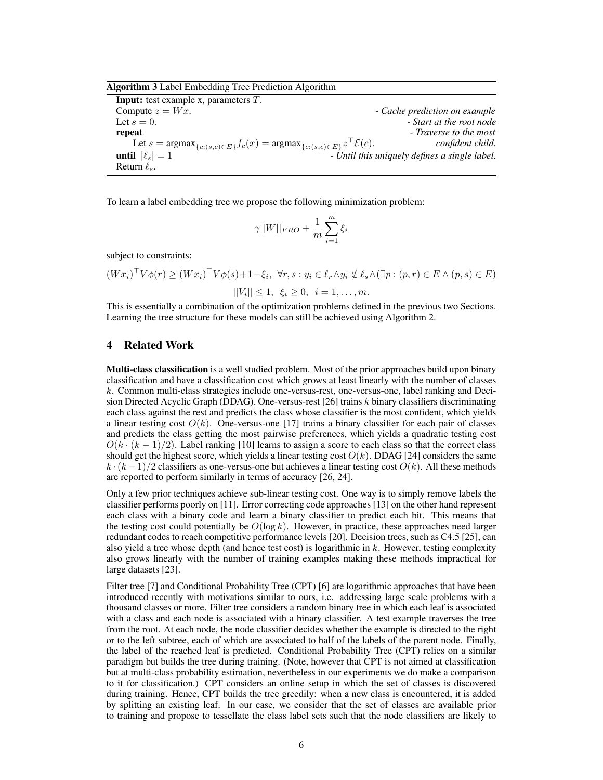| Algorithm 3 Label Embedding Tree Prediction Algorithm |  |  |  |
|-------------------------------------------------------|--|--|--|
|                                                       |  |  |  |

Input: test example x, parameters T. Compute  $z = Wx$ . **- Cache prediction on example** Let  $s = 0$ . *First at the root node* **repeat** *- Traverse to the most* Let  $s = \text{argmax}_{\{c: (s,c) \in E\}} f_c(x) = \text{argmax}_{\{c: (s,c) \in E\}} z$  $confident child.$ until  $|\ell_{s}| = 1$   $\qquad \qquad$  *Until this uniquely defines a single label.* Return  $\ell_s$ .

To learn a label embedding tree we propose the following minimization problem:

$$
\gamma ||W||_{FRO} + \frac{1}{m}\sum_{i=1}^m \xi_i
$$

subject to constraints:

$$
(Wx_i)^\top V \phi(r) \ge (Wx_i)^\top V \phi(s) + 1 - \xi_i, \ \forall r, s : y_i \in \ell_r \land y_i \notin \ell_s \land (\exists p : (p, r) \in E \land (p, s) \in E)
$$

$$
||V_i|| \le 1, \ \xi_i \ge 0, \ \ i = 1, \dots, m.
$$

This is essentially a combination of the optimization problems defined in the previous two Sections. Learning the tree structure for these models can still be achieved using Algorithm 2.

# 4 Related Work

Multi-class classification is a well studied problem. Most of the prior approaches build upon binary classification and have a classification cost which grows at least linearly with the number of classes k. Common multi-class strategies include one-versus-rest, one-versus-one, label ranking and Decision Directed Acyclic Graph (DDAG). One-versus-rest [26] trains k binary classifiers discriminating each class against the rest and predicts the class whose classifier is the most confident, which yields a linear testing cost  $O(k)$ . One-versus-one [17] trains a binary classifier for each pair of classes and predicts the class getting the most pairwise preferences, which yields a quadratic testing cost  $O(k \cdot (k-1)/2)$ . Label ranking [10] learns to assign a score to each class so that the correct class should get the highest score, which yields a linear testing cost  $O(k)$ . DDAG [24] considers the same  $k \cdot (k-1)/2$  classifiers as one-versus-one but achieves a linear testing cost  $O(k)$ . All these methods are reported to perform similarly in terms of accuracy [26, 24].

Only a few prior techniques achieve sub-linear testing cost. One way is to simply remove labels the classifier performs poorly on [11]. Error correcting code approaches [13] on the other hand represent each class with a binary code and learn a binary classifier to predict each bit. This means that the testing cost could potentially be  $O(\log k)$ . However, in practice, these approaches need larger redundant codes to reach competitive performance levels [20]. Decision trees, such as C4.5 [25], can also yield a tree whose depth (and hence test cost) is logarithmic in  $k$ . However, testing complexity also grows linearly with the number of training examples making these methods impractical for large datasets [23].

Filter tree [7] and Conditional Probability Tree (CPT) [6] are logarithmic approaches that have been introduced recently with motivations similar to ours, i.e. addressing large scale problems with a thousand classes or more. Filter tree considers a random binary tree in which each leaf is associated with a class and each node is associated with a binary classifier. A test example traverses the tree from the root. At each node, the node classifier decides whether the example is directed to the right or to the left subtree, each of which are associated to half of the labels of the parent node. Finally, the label of the reached leaf is predicted. Conditional Probability Tree (CPT) relies on a similar paradigm but builds the tree during training. (Note, however that CPT is not aimed at classification but at multi-class probability estimation, nevertheless in our experiments we do make a comparison to it for classification.) CPT considers an online setup in which the set of classes is discovered during training. Hence, CPT builds the tree greedily: when a new class is encountered, it is added by splitting an existing leaf. In our case, we consider that the set of classes are available prior to training and propose to tessellate the class label sets such that the node classifiers are likely to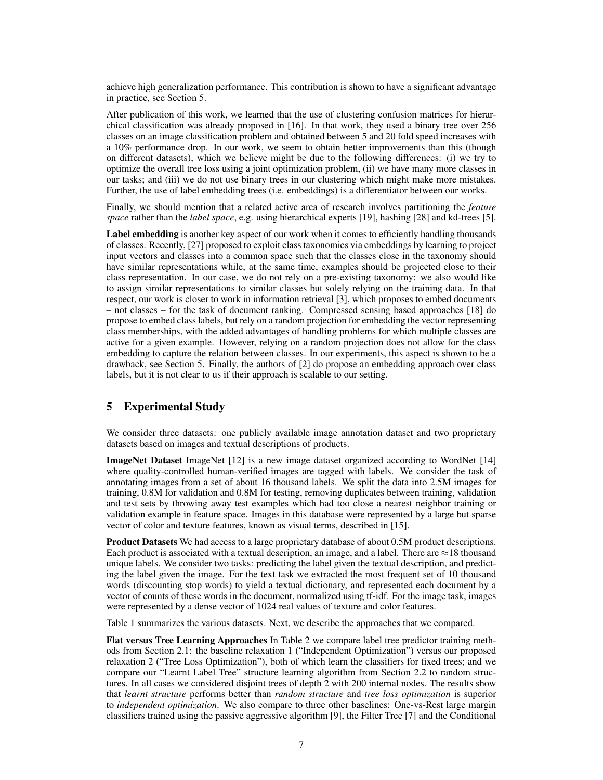achieve high generalization performance. This contribution is shown to have a significant advantage in practice, see Section 5.

After publication of this work, we learned that the use of clustering confusion matrices for hierarchical classification was already proposed in [16]. In that work, they used a binary tree over 256 classes on an image classification problem and obtained between 5 and 20 fold speed increases with a 10% performance drop. In our work, we seem to obtain better improvements than this (though on different datasets), which we believe might be due to the following differences: (i) we try to optimize the overall tree loss using a joint optimization problem, (ii) we have many more classes in our tasks; and (iii) we do not use binary trees in our clustering which might make more mistakes. Further, the use of label embedding trees (i.e. embeddings) is a differentiator between our works.

Finally, we should mention that a related active area of research involves partitioning the *feature space* rather than the *label space*, e.g. using hierarchical experts [19], hashing [28] and kd-trees [5].

Label embedding is another key aspect of our work when it comes to efficiently handling thousands of classes. Recently, [27] proposed to exploit class taxonomies via embeddings by learning to project input vectors and classes into a common space such that the classes close in the taxonomy should have similar representations while, at the same time, examples should be projected close to their class representation. In our case, we do not rely on a pre-existing taxonomy: we also would like to assign similar representations to similar classes but solely relying on the training data. In that respect, our work is closer to work in information retrieval [3], which proposes to embed documents – not classes – for the task of document ranking. Compressed sensing based approaches [18] do propose to embed class labels, but rely on a random projection for embedding the vector representing class memberships, with the added advantages of handling problems for which multiple classes are active for a given example. However, relying on a random projection does not allow for the class embedding to capture the relation between classes. In our experiments, this aspect is shown to be a drawback, see Section 5. Finally, the authors of [2] do propose an embedding approach over class labels, but it is not clear to us if their approach is scalable to our setting.

# 5 Experimental Study

We consider three datasets: one publicly available image annotation dataset and two proprietary datasets based on images and textual descriptions of products.

ImageNet Dataset ImageNet [12] is a new image dataset organized according to WordNet [14] where quality-controlled human-verified images are tagged with labels. We consider the task of annotating images from a set of about 16 thousand labels. We split the data into 2.5M images for training, 0.8M for validation and 0.8M for testing, removing duplicates between training, validation and test sets by throwing away test examples which had too close a nearest neighbor training or validation example in feature space. Images in this database were represented by a large but sparse vector of color and texture features, known as visual terms, described in [15].

Product Datasets We had access to a large proprietary database of about 0.5M product descriptions. Each product is associated with a textual description, an image, and a label. There are  $\approx$ 18 thousand unique labels. We consider two tasks: predicting the label given the textual description, and predicting the label given the image. For the text task we extracted the most frequent set of 10 thousand words (discounting stop words) to yield a textual dictionary, and represented each document by a vector of counts of these words in the document, normalized using tf-idf. For the image task, images were represented by a dense vector of 1024 real values of texture and color features.

Table 1 summarizes the various datasets. Next, we describe the approaches that we compared.

Flat versus Tree Learning Approaches In Table 2 we compare label tree predictor training methods from Section 2.1: the baseline relaxation 1 ("Independent Optimization") versus our proposed relaxation 2 ("Tree Loss Optimization"), both of which learn the classifiers for fixed trees; and we compare our "Learnt Label Tree" structure learning algorithm from Section 2.2 to random structures. In all cases we considered disjoint trees of depth 2 with 200 internal nodes. The results show that *learnt structure* performs better than *random structure* and *tree loss optimization* is superior to *independent optimization*. We also compare to three other baselines: One-vs-Rest large margin classifiers trained using the passive aggressive algorithm [9], the Filter Tree [7] and the Conditional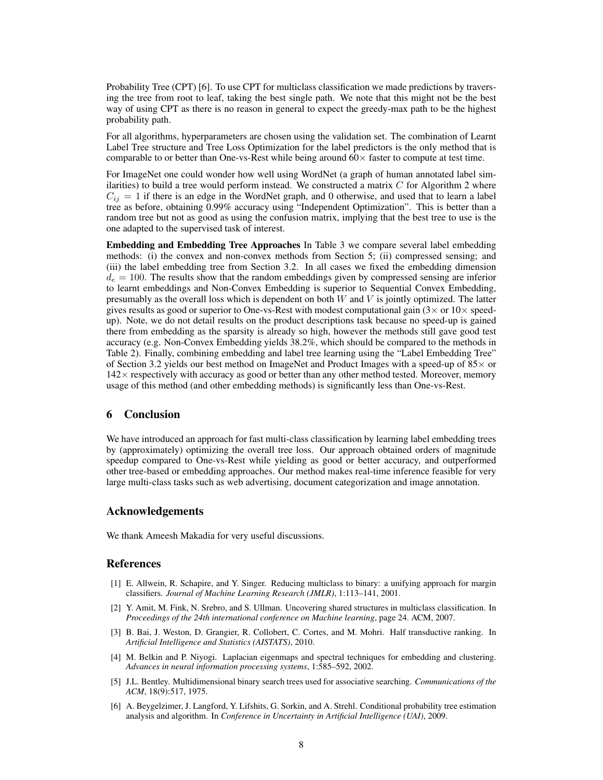Probability Tree (CPT) [6]. To use CPT for multiclass classification we made predictions by traversing the tree from root to leaf, taking the best single path. We note that this might not be the best way of using CPT as there is no reason in general to expect the greedy-max path to be the highest probability path.

For all algorithms, hyperparameters are chosen using the validation set. The combination of Learnt Label Tree structure and Tree Loss Optimization for the label predictors is the only method that is comparable to or better than One-vs-Rest while being around  $60\times$  faster to compute at test time.

For ImageNet one could wonder how well using WordNet (a graph of human annotated label similarities) to build a tree would perform instead. We constructed a matrix  $C$  for Algorithm 2 where  $C_{ij} = 1$  if there is an edge in the WordNet graph, and 0 otherwise, and used that to learn a label tree as before, obtaining 0.99% accuracy using "Independent Optimization". This is better than a random tree but not as good as using the confusion matrix, implying that the best tree to use is the one adapted to the supervised task of interest.

Embedding and Embedding Tree Approaches In Table 3 we compare several label embedding methods: (i) the convex and non-convex methods from Section 5; (ii) compressed sensing; and (iii) the label embedding tree from Section 3.2. In all cases we fixed the embedding dimension  $d_e = 100$ . The results show that the random embeddings given by compressed sensing are inferior to learnt embeddings and Non-Convex Embedding is superior to Sequential Convex Embedding, presumably as the overall loss which is dependent on both  $W$  and  $V$  is jointly optimized. The latter gives results as good or superior to One-vs-Rest with modest computational gain  $(3 \times$  or  $10 \times$  speedup). Note, we do not detail results on the product descriptions task because no speed-up is gained there from embedding as the sparsity is already so high, however the methods still gave good test accuracy (e.g. Non-Convex Embedding yields 38.2%, which should be compared to the methods in Table 2). Finally, combining embedding and label tree learning using the "Label Embedding Tree" of Section 3.2 yields our best method on ImageNet and Product Images with a speed-up of  $85\times$  or  $142\times$  respectively with accuracy as good or better than any other method tested. Moreover, memory usage of this method (and other embedding methods) is significantly less than One-vs-Rest.

# 6 Conclusion

We have introduced an approach for fast multi-class classification by learning label embedding trees by (approximately) optimizing the overall tree loss. Our approach obtained orders of magnitude speedup compared to One-vs-Rest while yielding as good or better accuracy, and outperformed other tree-based or embedding approaches. Our method makes real-time inference feasible for very large multi-class tasks such as web advertising, document categorization and image annotation.

#### Acknowledgements

We thank Ameesh Makadia for very useful discussions.

#### References

- [1] E. Allwein, R. Schapire, and Y. Singer. Reducing multiclass to binary: a unifying approach for margin classifiers. *Journal of Machine Learning Research (JMLR)*, 1:113–141, 2001.
- [2] Y. Amit, M. Fink, N. Srebro, and S. Ullman. Uncovering shared structures in multiclass classification. In *Proceedings of the 24th international conference on Machine learning*, page 24. ACM, 2007.
- [3] B. Bai, J. Weston, D. Grangier, R. Collobert, C. Cortes, and M. Mohri. Half transductive ranking. In *Artificial Intelligence and Statistics (AISTATS)*, 2010.
- [4] M. Belkin and P. Niyogi. Laplacian eigenmaps and spectral techniques for embedding and clustering. *Advances in neural information processing systems*, 1:585–592, 2002.
- [5] J.L. Bentley. Multidimensional binary search trees used for associative searching. *Communications of the ACM*, 18(9):517, 1975.
- [6] A. Beygelzimer, J. Langford, Y. Lifshits, G. Sorkin, and A. Strehl. Conditional probability tree estimation analysis and algorithm. In *Conference in Uncertainty in Artificial Intelligence (UAI)*, 2009.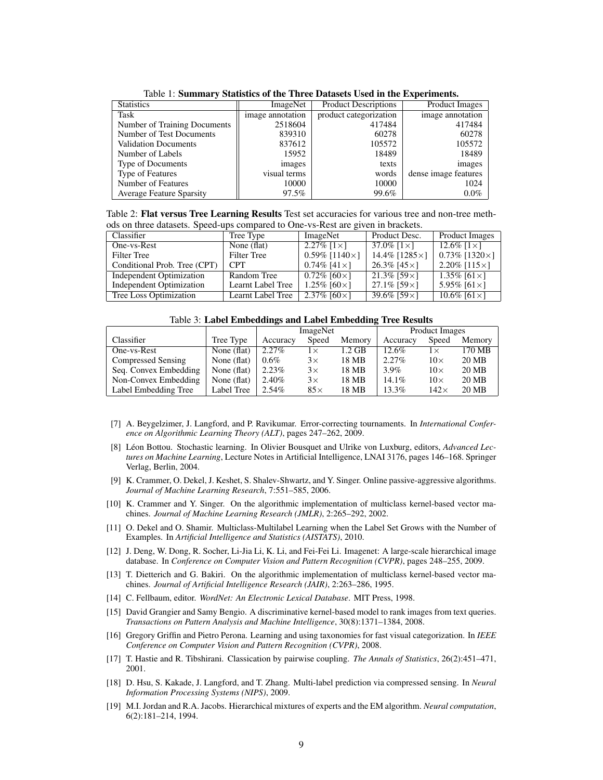| Tuoto 1, Dummut ( Duniono of the Three Duniono Oben in the Experimentor |                  |                             |                       |  |  |  |  |
|-------------------------------------------------------------------------|------------------|-----------------------------|-----------------------|--|--|--|--|
| <b>Statistics</b>                                                       | ImageNet         | <b>Product Descriptions</b> | <b>Product Images</b> |  |  |  |  |
| Task                                                                    | image annotation | product categorization      | image annotation      |  |  |  |  |
| Number of Training Documents                                            | 2518604          | 417484                      | 417484                |  |  |  |  |
| Number of Test Documents                                                | 839310           | 60278                       | 60278                 |  |  |  |  |
| <b>Validation Documents</b>                                             | 837612           | 105572                      | 105572                |  |  |  |  |
| Number of Labels                                                        | 15952            | 18489                       | 18489                 |  |  |  |  |
| Type of Documents                                                       | images           | texts                       | images                |  |  |  |  |
| <b>Type of Features</b>                                                 | visual terms     | words                       | dense image features  |  |  |  |  |
| Number of Features                                                      | 10000            | 10000                       | 1024                  |  |  |  |  |
| <b>Average Feature Sparsity</b>                                         | 97.5%            | 99.6%                       | $0.0\%$               |  |  |  |  |

Table 1: Summary Statistics of the Three Datasets Used in the Experiments.

Table 2: Flat versus Tree Learning Results Test set accuracies for various tree and non-tree methods on three datasets. Speed-ups compared to One-vs-Rest are given in brackets.

| Classifier                      | Tree Type          | ImageNet                  | Product Desc.           | Product Images            |  |
|---------------------------------|--------------------|---------------------------|-------------------------|---------------------------|--|
| One-vs-Rest                     | None (flat)        | $2.27\%$ [1×]             | 37.0\% $[1 \times]$     | 12.6\% $[1 \times]$       |  |
| Filter Tree                     | <b>Filter Tree</b> | $0.59\%$ [1140 $\times$ ] | 14.4% [ $1285 \times$ ] | $0.73\%$ [1320 $\times$ ] |  |
| Conditional Prob. Tree (CPT)    | <b>CPT</b>         | $0.74\%$ [41 × ]          | 26.3% [ $45 \times$ ]   | 2.20\% [115\; \)          |  |
| Independent Optimization        | Random Tree        | $0.72\%$ [60×1]           | $21.3\%$ [59×]          | 1.35\% $[61 \times]$      |  |
| <b>Independent Optimization</b> | Learnt Label Tree  | 1.25% $[60 \times]$       | $27.1\%$ [59×]          | 5.95% $[61 \times]$       |  |
| Tree Loss Optimization          | Learnt Label Tree  | 2.37% $[60 \times]$       | 39.6% [59 $\times$ ]    | 10.6% [61 $\times$ ]      |  |

|                       |             | ImageNet |            |          | Product Images |             |        |
|-----------------------|-------------|----------|------------|----------|----------------|-------------|--------|
| Classifier            | Tree Type   | Accuracy | Speed      | Memory   | Accuracy       | Speed       | Memory |
| One-vs-Rest           | None (flat) | 2.27%    | lΧ         | $1.2$ GB | $12.6\%$       | 1 X         | 170 MB |
| Compressed Sensing    | None (flat) | $0.6\%$  | $3\times$  | 18 MB    | $2.27\%$       | $10\times$  | 20 MB  |
| Seq. Convex Embedding | None (flat) | 2.23%    | $3\times$  | 18 MB    | $3.9\%$        | $10\times$  | 20 MB  |
| Non-Convex Embedding  | None (flat) | 2.40%    | $3\times$  | 18 MB    | 14.1%          | $10\times$  | 20 MB  |
| Label Embedding Tree  | Label Tree  | $2.54\%$ | $85\times$ | 18 MB    | $13.3\%$       | $142\times$ | 20 MB  |

- [7] A. Beygelzimer, J. Langford, and P. Ravikumar. Error-correcting tournaments. In *International Conference on Algorithmic Learning Theory (ALT)*, pages 247–262, 2009.
- [8] Léon Bottou. Stochastic learning. In Olivier Bousquet and Ulrike von Luxburg, editors, *Advanced Lectures on Machine Learning*, Lecture Notes in Artificial Intelligence, LNAI 3176, pages 146–168. Springer Verlag, Berlin, 2004.
- [9] K. Crammer, O. Dekel, J. Keshet, S. Shalev-Shwartz, and Y. Singer. Online passive-aggressive algorithms. *Journal of Machine Learning Research*, 7:551–585, 2006.
- [10] K. Crammer and Y. Singer. On the algorithmic implementation of multiclass kernel-based vector machines. *Journal of Machine Learning Research (JMLR)*, 2:265–292, 2002.
- [11] O. Dekel and O. Shamir. Multiclass-Multilabel Learning when the Label Set Grows with the Number of Examples. In *Artificial Intelligence and Statistics (AISTATS)*, 2010.
- [12] J. Deng, W. Dong, R. Socher, Li-Jia Li, K. Li, and Fei-Fei Li. Imagenet: A large-scale hierarchical image database. In *Conference on Computer Vision and Pattern Recognition (CVPR)*, pages 248–255, 2009.
- [13] T. Dietterich and G. Bakiri. On the algorithmic implementation of multiclass kernel-based vector machines. *Journal of Artificial Intelligence Research (JAIR)*, 2:263–286, 1995.
- [14] C. Fellbaum, editor. *WordNet: An Electronic Lexical Database*. MIT Press, 1998.
- [15] David Grangier and Samy Bengio. A discriminative kernel-based model to rank images from text queries. *Transactions on Pattern Analysis and Machine Intelligence*, 30(8):1371–1384, 2008.
- [16] Gregory Griffin and Pietro Perona. Learning and using taxonomies for fast visual categorization. In *IEEE Conference on Computer Vision and Pattern Recognition (CVPR)*, 2008.
- [17] T. Hastie and R. Tibshirani. Classication by pairwise coupling. *The Annals of Statistics*, 26(2):451–471, 2001.
- [18] D. Hsu, S. Kakade, J. Langford, and T. Zhang. Multi-label prediction via compressed sensing. In *Neural Information Processing Systems (NIPS)*, 2009.
- [19] M.I. Jordan and R.A. Jacobs. Hierarchical mixtures of experts and the EM algorithm. *Neural computation*, 6(2):181–214, 1994.